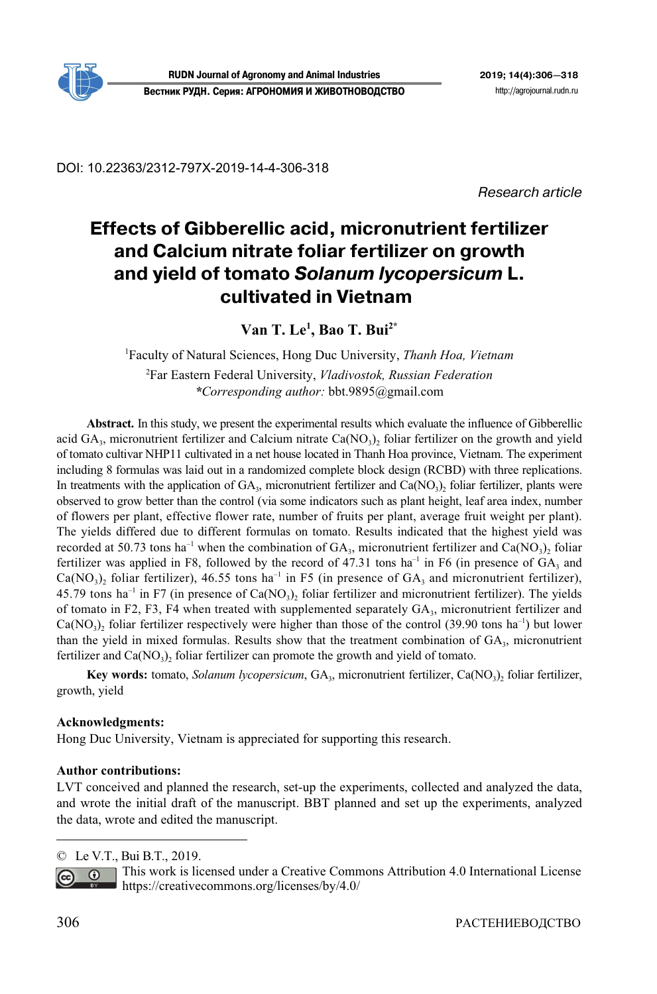

DOI: 10.22363/2312-797X-2019-14-4-306-318

Research article

# **Effects of Gibberellic acid, micronutrient fertilizer and Calcium nitrate foliar fertilizer on growth and yield of tomato** *Solanum lycopersicum* **L. cultivated in Vietnam1**

**Van T. Le1 , Bao T. Bui2\***

1 Faculty of Natural Sciences, Hong Duc University, *Thanh Hoa, Vietnam*  2 Far Eastern Federal University, *Vladivostok, Russian Federation* 

*\*Corresponding author:* bbt.9895@gmail.com

**Abstract.** In this study, we present the experimental results which evaluate the influence of Gibberellic acid  $GA_3$ , micronutrient fertilizer and Calcium nitrate  $Ca(NO_3)$  foliar fertilizer on the growth and yield of tomato cultivar NHP11 cultivated in a net house located in Thanh Hoa province, Vietnam. The experiment including 8 formulas was laid out in a randomized complete block design (RCBD) with three replications. In treatments with the application of  $GA_3$ , micronutrient fertilizer and  $Ca(NO_3)$ , foliar fertilizer, plants were observed to grow better than the control (via some indicators such as plant height, leaf area index, number of flowers per plant, effective flower rate, number of fruits per plant, average fruit weight per plant). The yields differed due to different formulas on tomato. Results indicated that the highest yield was recorded at 50.73 tons ha<sup>-1</sup> when the combination of  $GA_3$ , micronutrient fertilizer and Ca(NO<sub>3</sub>), foliar fertilizer was applied in F8, followed by the record of 47.31 tons ha<sup>-1</sup> in F6 (in presence of  $GA_3$  and Ca(NO<sub>3</sub>), foliar fertilizer), 46.55 tons ha<sup>-1</sup> in F5 (in presence of GA<sub>3</sub> and micronutrient fertilizer), 45.79 tons ha<sup>-1</sup> in F7 (in presence of Ca(NO<sub>3</sub>)<sub>2</sub> foliar fertilizer and micronutrient fertilizer). The yields of tomato in F2, F3, F4 when treated with supplemented separately  $GA_3$ , micronutrient fertilizer and  $Ca(NO<sub>3</sub>)$ <sub>2</sub> foliar fertilizer respectively were higher than those of the control (39.90 tons ha<sup>-1</sup>) but lower than the yield in mixed formulas. Results show that the treatment combination of  $GA<sub>3</sub>$ , micronutrient fertilizer and  $Ca(NO<sub>3</sub>)$ , foliar fertilizer can promote the growth and yield of tomato.

**Key words:** tomato, *Solanum lycopersicum*, GA<sub>3</sub>, micronutrient fertilizer, Ca(NO<sub>3</sub>)<sub>2</sub> foliar fertilizer, growth, yield

# **Acknowledgments:**

Hong Duc University, Vietnam is appreciated for supporting this research.

# **Author contributions:**

LVT conceived and planned the research, set-up the experiments, collected and analyzed the data, and wrote the initial draft of the manuscript. BBT planned and set up the experiments, analyzed the data, wrote and edited the manuscript.

© Le V.T., Bui B.T., 2019.



This work is licensed under a Creative Commons Attribution 4.0 International License https://creativecommons.org/licenses/by/4.0/

 $\overline{a}$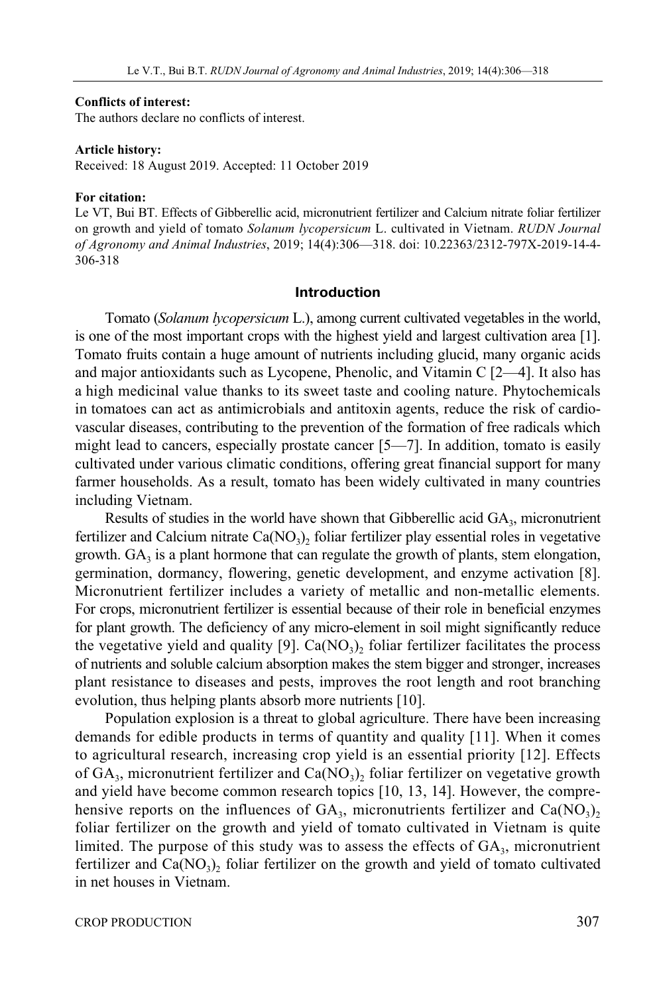#### **Conflicts of interest:**

The authors declare no conflicts of interest.

#### **Article history:**

Received: 18 August 2019. Accepted: 11 October 2019

#### **For citation:**

Le VT, Bui BT. Effects of Gibberellic acid, micronutrient fertilizer and Calcium nitrate foliar fertilizer on growth and yield of tomato *Solanum lycopersicum* L. cultivated in Vietnam. *RUDN Journal of Agronomy and Animal Industries*, 2019; 14(4):306—318. doi: 10.22363/2312-797X-2019-14-4- 306-318

#### **Introduction**

Tomato (*Solanum lycopersicum* L.), among current cultivated vegetables in the world, is one of the most important crops with the highest yield and largest cultivation area [1]. Tomato fruits contain a huge amount of nutrients including glucid, many organic acids and major antioxidants such as Lycopene, Phenolic, and Vitamin C [2—4]. It also has a high medicinal value thanks to its sweet taste and cooling nature. Phytochemicals in tomatoes can act as antimicrobials and antitoxin agents, reduce the risk of cardiovascular diseases, contributing to the prevention of the formation of free radicals which might lead to cancers, especially prostate cancer [5—7]. In addition, tomato is easily cultivated under various climatic conditions, offering great financial support for many farmer households. As a result, tomato has been widely cultivated in many countries including Vietnam.

Results of studies in the world have shown that Gibberellic acid  $GA_3$ , micronutrient fertilizer and Calcium nitrate  $Ca(NO<sub>3</sub>)<sub>2</sub>$  foliar fertilizer play essential roles in vegetative growth.  $GA_3$  is a plant hormone that can regulate the growth of plants, stem elongation, germination, dormancy, flowering, genetic development, and enzyme activation [8]. Micronutrient fertilizer includes a variety of metallic and non-metallic elements. For crops, micronutrient fertilizer is essential because of their role in beneficial enzymes for plant growth. The deficiency of any micro-element in soil might significantly reduce the vegetative yield and quality [9].  $Ca(NO<sub>3</sub>)$ , foliar fertilizer facilitates the process of nutrients and soluble calcium absorption makes the stem bigger and stronger, increases plant resistance to diseases and pests, improves the root length and root branching evolution, thus helping plants absorb more nutrients [10].

Population explosion is a threat to global agriculture. There have been increasing demands for edible products in terms of quantity and quality [11]. When it comes to agricultural research, increasing crop yield is an essential priority [12]. Effects of  $GA_3$ , micronutrient fertilizer and  $Ca(NO_3)$ , foliar fertilizer on vegetative growth and yield have become common research topics [10, 13, 14]. However, the comprehensive reports on the influences of  $GA_3$ , micronutrients fertilizer and  $Ca(NO_3)_2$ foliar fertilizer on the growth and yield of tomato cultivated in Vietnam is quite limited. The purpose of this study was to assess the effects of  $GA_3$ , micronutrient fertilizer and  $Ca(NO<sub>3</sub>)<sub>2</sub>$  foliar fertilizer on the growth and yield of tomato cultivated in net houses in Vietnam.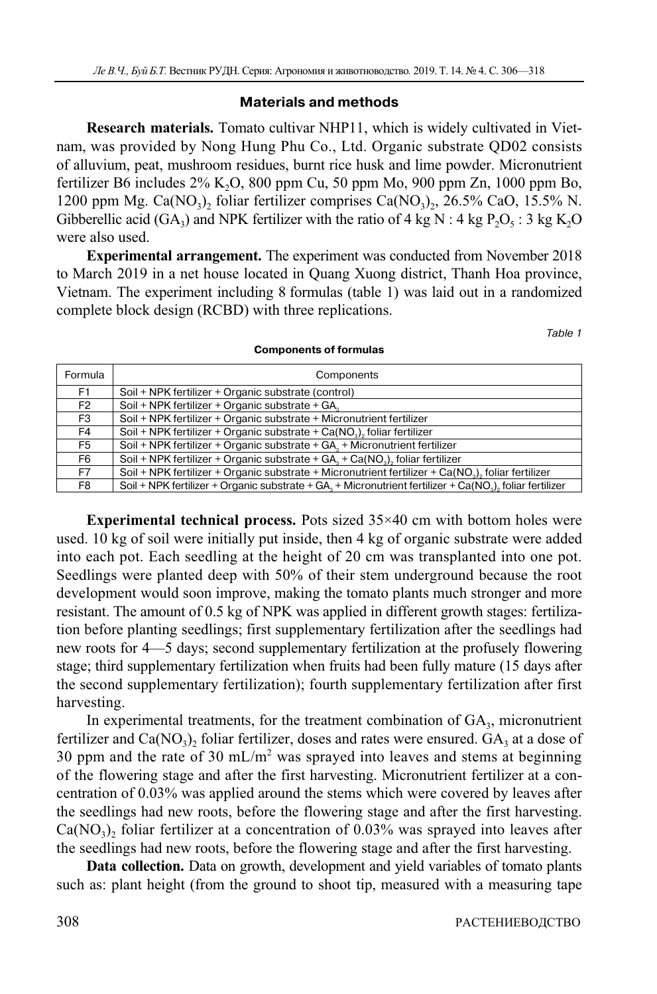# **Materials and methods**

**Research materials.** Tomato cultivar NHP11, which is widely cultivated in Vietnam, was provided by Nong Hung Phu Co., Ltd. Organic substrate QD02 consists of alluvium, peat, mushroom residues, burnt rice husk and lime powder. Micronutrient fertilizer B6 includes  $2\%$  K<sub>2</sub>O, 800 ppm Cu, 50 ppm Mo, 900 ppm Zn, 1000 ppm Bo, 1200 ppm Mg. Ca(NO<sub>3</sub>)<sub>2</sub> foliar fertilizer comprises Ca(NO<sub>3</sub>)<sub>2</sub>, 26.5% CaO, 15.5% N. Gibberellic acid (GA<sub>3</sub>) and NPK fertilizer with the ratio of 4 kg N : 4 kg P<sub>2</sub>O<sub>5</sub> : 3 kg K<sub>2</sub>O<sub>5</sub> were also used.

**Experimental arrangement.** The experiment was conducted from November 2018 to March 2019 in a net house located in Quang Xuong district, Thanh Hoa province, Vietnam. The experiment including 8 formulas (table 1) was laid out in a randomized complete block design (RCBD) with three replications.

Table 1

| Formula        | Components                                                                                              |  |  |
|----------------|---------------------------------------------------------------------------------------------------------|--|--|
| F1.            | Soil + NPK fertilizer + Organic substrate (control)                                                     |  |  |
| F <sub>2</sub> | Soil + NPK fertilizer + Organic substrate + GA,                                                         |  |  |
| F3             | Soil + NPK fertilizer + Organic substrate + Micronutrient fertilizer                                    |  |  |
| F4             | Soil + NPK fertilizer + Organic substrate + Ca(NO <sub>2</sub> ), foliar fertilizer                     |  |  |
| F5             | Soil + NPK fertilizer + Organic substrate + $GA_{n}$ + Micronutrient fertilizer                         |  |  |
| F6             | Soil + NPK fertilizer + Organic substrate + $GA_1 + Ca(NO_1)$ , foliar fertilizer                       |  |  |
| F7             | Soil + NPK fertilizer + Organic substrate + Micronutrient fertilizer + Ca( $NO3$ ), foliar fertilizer   |  |  |
| F8             | Soil + NPK fertilizer + Organic substrate + GA, + Micronutrient fertilizer + Ca(NO,), foliar fertilizer |  |  |

#### **Components of formulas**

**Experimental technical process.** Pots sized 35×40 cm with bottom holes were used. 10 kg of soil were initially put inside, then 4 kg of organic substrate were added into each pot. Each seedling at the height of 20 cm was transplanted into one pot. Seedlings were planted deep with 50% of their stem underground because the root development would soon improve, making the tomato plants much stronger and more resistant. The amount of 0.5 kg of NPK was applied in different growth stages: fertilization before planting seedlings; first supplementary fertilization after the seedlings had new roots for 4—5 days; second supplementary fertilization at the profusely flowering stage; third supplementary fertilization when fruits had been fully mature (15 days after the second supplementary fertilization); fourth supplementary fertilization after first harvesting.

In experimental treatments, for the treatment combination of  $GA<sub>3</sub>$ , micronutrient fertilizer and  $Ca(NO<sub>3</sub>)<sub>2</sub>$  foliar fertilizer, doses and rates were ensured.  $GA<sub>3</sub>$  at a dose of 30 ppm and the rate of 30 mL/m<sup>2</sup> was sprayed into leaves and stems at beginning of the flowering stage and after the first harvesting. Micronutrient fertilizer at a concentration of 0.03% was applied around the stems which were covered by leaves after the seedlings had new roots, before the flowering stage and after the first harvesting.  $Ca(NO<sub>3</sub>)<sub>2</sub>$  foliar fertilizer at a concentration of 0.03% was sprayed into leaves after the seedlings had new roots, before the flowering stage and after the first harvesting.

**Data collection.** Data on growth, development and yield variables of tomato plants such as: plant height (from the ground to shoot tip, measured with a measuring tape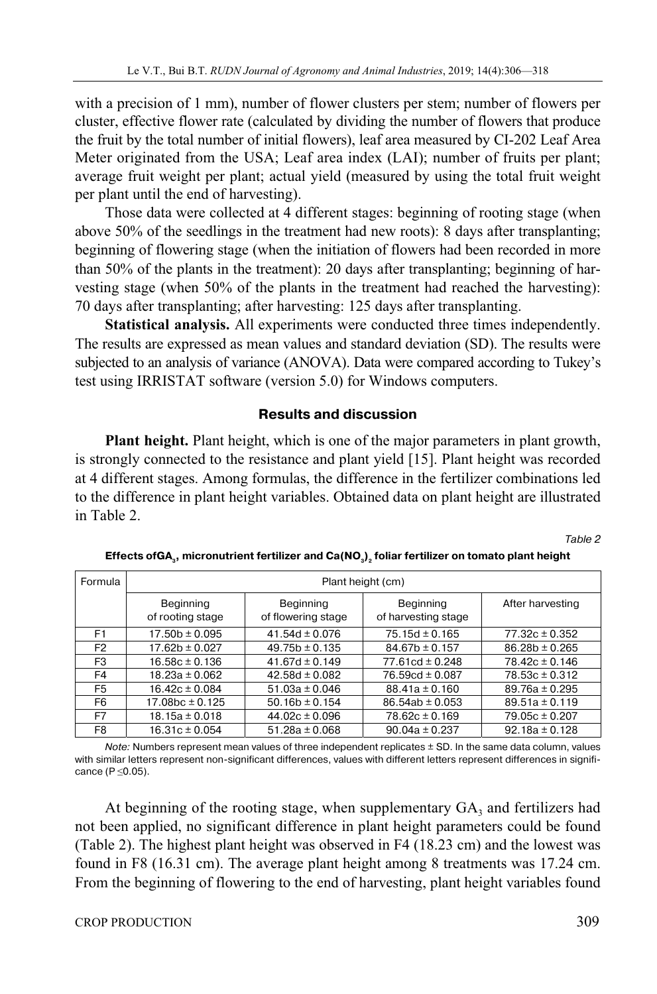with a precision of 1 mm), number of flower clusters per stem; number of flowers per cluster, effective flower rate (calculated by dividing the number of flowers that produce the fruit by the total number of initial flowers), leaf area measured by CI-202 Leaf Area Meter originated from the USA; Leaf area index (LAI); number of fruits per plant; average fruit weight per plant; actual yield (measured by using the total fruit weight per plant until the end of harvesting).

Those data were collected at 4 different stages: beginning of rooting stage (when above 50% of the seedlings in the treatment had new roots): 8 days after transplanting; beginning of flowering stage (when the initiation of flowers had been recorded in more than 50% of the plants in the treatment): 20 days after transplanting; beginning of harvesting stage (when 50% of the plants in the treatment had reached the harvesting): 70 days after transplanting; after harvesting: 125 days after transplanting.

**Statistical analysis.** All experiments were conducted three times independently. The results are expressed as mean values and standard deviation (SD). The results were subjected to an analysis of variance (ANOVA). Data were compared according to Tukey's test using IRRISTAT software (version 5.0) for Windows computers.

# **Results and discussion**

**Plant height.** Plant height, which is one of the major parameters in plant growth, is strongly connected to the resistance and plant yield [15]. Plant height was recorded at 4 different stages. Among formulas, the difference in the fertilizer combinations led to the difference in plant height variables. Obtained data on plant height are illustrated in Table 2.

Table 2

| <b>Formula</b> | Plant height (cm)             |                                 |                                  |                    |
|----------------|-------------------------------|---------------------------------|----------------------------------|--------------------|
|                | Beginning<br>of rooting stage | Beginning<br>of flowering stage | Beginning<br>of harvesting stage | After harvesting   |
| F <sub>1</sub> | $17.50b \pm 0.095$            | 41.54d $\pm$ 0.076              | $75.15d \pm 0.165$               | $77.32c \pm 0.352$ |
| F <sub>2</sub> | $17.62b \pm 0.027$            | $49.75b \pm 0.135$              | $84.67b \pm 0.157$               | $86.28b \pm 0.265$ |
| F <sub>3</sub> | $16.58c \pm 0.136$            | $41.67d \pm 0.149$              | $77.61cd \pm 0.248$              | $78.42c \pm 0.146$ |
| F4             | $18.23a \pm 0.062$            | 42.58d $\pm$ 0.082              | 76.59cd $\pm$ 0.087              | $78.53c \pm 0.312$ |
| F5             | $16.42c \pm 0.084$            | $51.03a \pm 0.046$              | $88.41a \pm 0.160$               | $89.76a \pm 0.295$ |
| F6             | $17.08bc \pm 0.125$           | $50.16b \pm 0.154$              | $86.54ab \pm 0.053$              | $89.51a \pm 0.119$ |
| F7             | $18.15a \pm 0.018$            | $44.02c \pm 0.096$              | $78.62c \pm 0.169$               | $79.05c \pm 0.207$ |
| F8             | $16.31c \pm 0.054$            | $51.28a \pm 0.068$              | $90.04a \pm 0.237$               | $92.18a \pm 0.128$ |

Effects ofGA<sub>3</sub>, micronutrient fertilizer and Ca(NO<sub>3</sub>)<sub>2</sub> foliar fertilizer on tomato plant height

Note: Numbers represent mean values of three independent replicates ± SD. In the same data column, values with similar letters represent non-significant differences, values with different letters represent differences in significance (P ≤0.05).

At beginning of the rooting stage, when supplementary  $GA_3$  and fertilizers had not been applied, no significant difference in plant height parameters could be found (Table 2). The highest plant height was observed in F4 (18.23 cm) and the lowest was found in F8 (16.31 cm). The average plant height among 8 treatments was 17.24 cm. From the beginning of flowering to the end of harvesting, plant height variables found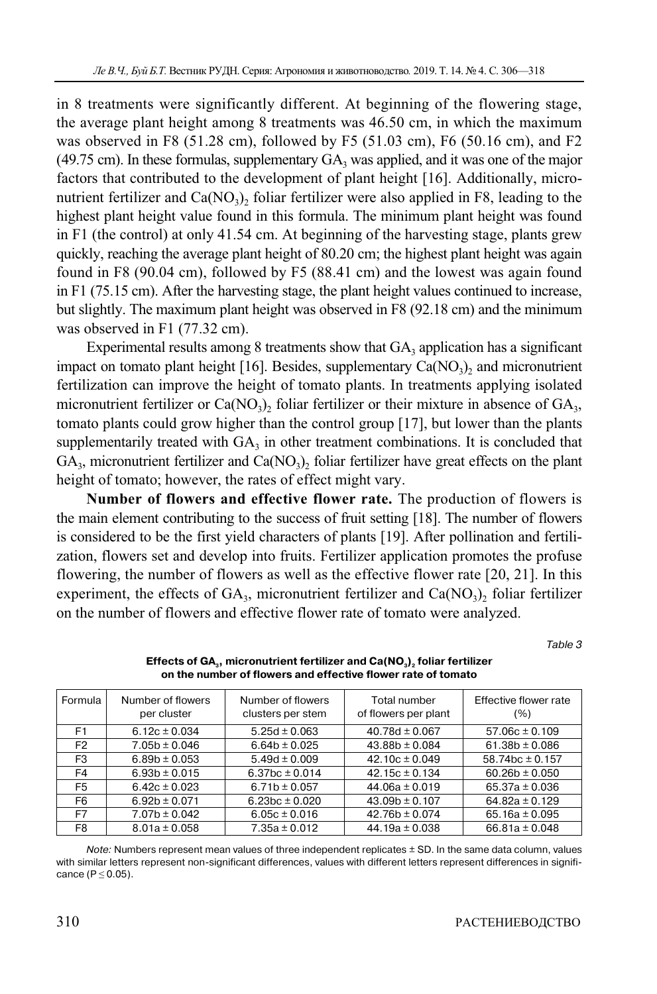in 8 treatments were significantly different. At beginning of the flowering stage, the average plant height among 8 treatments was 46.50 cm, in which the maximum was observed in F8 (51.28 cm), followed by F5 (51.03 cm), F6 (50.16 cm), and F2 (49.75 cm). In these formulas, supplementary  $GA_3$  was applied, and it was one of the major factors that contributed to the development of plant height [16]. Additionally, micronutrient fertilizer and  $Ca(NO<sub>3</sub>)$ , foliar fertilizer were also applied in F8, leading to the highest plant height value found in this formula. The minimum plant height was found in F1 (the control) at only 41.54 cm. At beginning of the harvesting stage, plants grew quickly, reaching the average plant height of 80.20 cm; the highest plant height was again found in F8 (90.04 cm), followed by F5 (88.41 cm) and the lowest was again found in F1 (75.15 cm). After the harvesting stage, the plant height values continued to increase, but slightly. The maximum plant height was observed in F8 (92.18 cm) and the minimum was observed in F1 (77.32 cm).

Experimental results among 8 treatments show that  $GA_3$  application has a significant impact on tomato plant height [16]. Besides, supplementary  $Ca(NO<sub>3</sub>)$ , and micronutrient fertilization can improve the height of tomato plants. In treatments applying isolated micronutrient fertilizer or  $Ca(NO<sub>3</sub>)$ , foliar fertilizer or their mixture in absence of  $GA<sub>3</sub>$ , tomato plants could grow higher than the control group [17], but lower than the plants supplementarily treated with  $GA_3$  in other treatment combinations. It is concluded that  $GA<sub>3</sub>$ , micronutrient fertilizer and  $Ca(NO<sub>3</sub>)$ , foliar fertilizer have great effects on the plant height of tomato; however, the rates of effect might vary.

**Number of flowers and effective flower rate.** The production of flowers is the main element contributing to the success of fruit setting [18]. The number of flowers is considered to be the first yield characters of plants [19]. After pollination and fertilization, flowers set and develop into fruits. Fertilizer application promotes the profuse flowering, the number of flowers as well as the effective flower rate [20, 21]. In this experiment, the effects of  $GA_3$ , micronutrient fertilizer and  $Ca(NO_3)_2$  foliar fertilizer on the number of flowers and effective flower rate of tomato were analyzed.

Table 3

| Formula        | Number of flowers<br>per cluster | Number of flowers<br>clusters per stem | Total number<br>of flowers per plant | Effective flower rate<br>(%) |
|----------------|----------------------------------|----------------------------------------|--------------------------------------|------------------------------|
| F <sub>1</sub> | 6.12 $c \pm 0.034$               | 5.25d $\pm$ 0.063                      | 40.78d $\pm$ 0.067                   | $57.06c \pm 0.109$           |
| F <sub>2</sub> | $7.05b \pm 0.046$                | $6.64b \pm 0.025$                      | $43.88b \pm 0.084$                   | 61.38b $\pm$ 0.086           |
| F3             | $6.89b \pm 0.053$                | $5.49d \pm 0.009$                      | $42.10c \pm 0.049$                   | $58.74$ bc $\pm$ 0.157       |
| F4             | $6.93b \pm 0.015$                | 6.37bc $\pm$ 0.014                     | $42.15c \pm 0.134$                   | $60.26b \pm 0.050$           |
| F5             | $6.42c \pm 0.023$                | $6.71b \pm 0.057$                      | $44.06a \pm 0.019$                   | $65.37a \pm 0.036$           |
| F <sub>6</sub> | $6.92b \pm 0.071$                | 6.23bc $\pm$ 0.020                     | $43.09b \pm 0.107$                   | $64.82a \pm 0.129$           |
| F7             | $7.07b \pm 0.042$                | $6.05c \pm 0.016$                      | $42.76b \pm 0.074$                   | 65.16a $\pm$ 0.095           |
| F8             | $8.01a \pm 0.058$                | $7.35a \pm 0.012$                      | $44.19a \pm 0.038$                   | 66.81a $\pm$ 0.048           |

**Effects of GA<sub>3</sub>, micronutrient fertilizer and Ca(NO<sub>3</sub>)<sub>2</sub> foliar fertilizer on the number of flowers and effective flower rate of tomato** 

Note: Numbers represent mean values of three independent replicates ± SD. In the same data column, values with similar letters represent non-significant differences, values with different letters represent differences in significance ( $P \le 0.05$ ).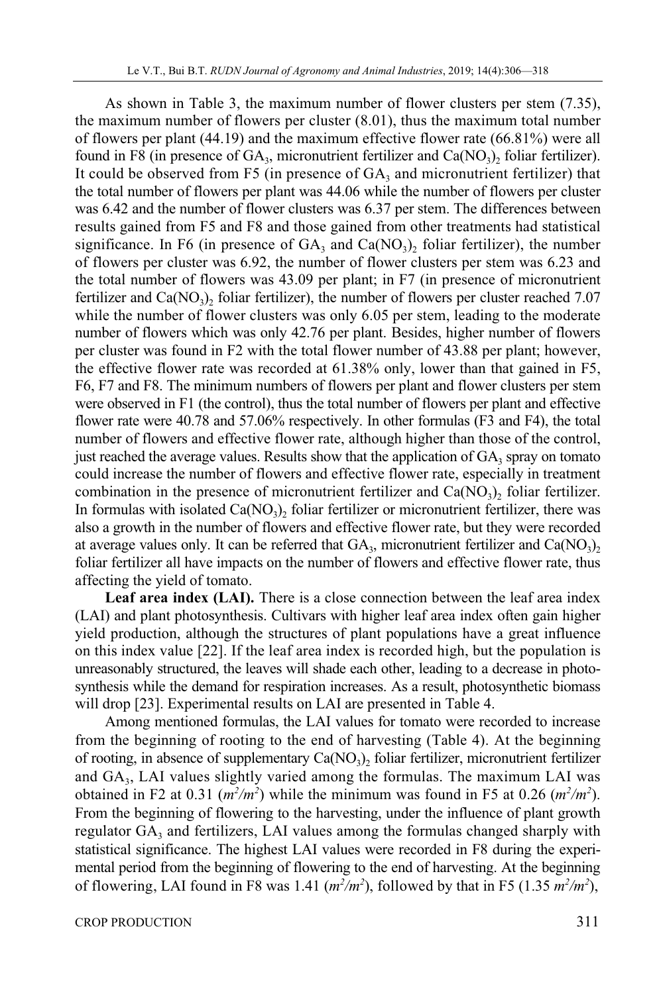As shown in Table 3, the maximum number of flower clusters per stem (7.35), the maximum number of flowers per cluster (8.01), thus the maximum total number of flowers per plant (44.19) and the maximum effective flower rate (66.81%) were all found in F8 (in presence of  $GA_3$ , micronutrient fertilizer and  $Ca(NO_3)$ , foliar fertilizer). It could be observed from F5 (in presence of  $GA_3$  and micronutrient fertilizer) that the total number of flowers per plant was 44.06 while the number of flowers per cluster was 6.42 and the number of flower clusters was 6.37 per stem. The differences between results gained from F5 and F8 and those gained from other treatments had statistical significance. In F6 (in presence of  $GA_3$  and  $Ca(NO_3)$ ) foliar fertilizer), the number of flowers per cluster was 6.92, the number of flower clusters per stem was 6.23 and the total number of flowers was 43.09 per plant; in F7 (in presence of micronutrient fertilizer and  $Ca(NO<sub>3</sub>)<sub>2</sub>$  foliar fertilizer), the number of flowers per cluster reached 7.07 while the number of flower clusters was only 6.05 per stem, leading to the moderate number of flowers which was only 42.76 per plant. Besides, higher number of flowers per cluster was found in F2 with the total flower number of 43.88 per plant; however, the effective flower rate was recorded at 61.38% only, lower than that gained in F5, F6, F7 and F8. The minimum numbers of flowers per plant and flower clusters per stem were observed in F1 (the control), thus the total number of flowers per plant and effective flower rate were 40.78 and 57.06% respectively. In other formulas (F3 and F4), the total number of flowers and effective flower rate, although higher than those of the control, just reached the average values. Results show that the application of  $GA_3$  spray on tomato could increase the number of flowers and effective flower rate, especially in treatment combination in the presence of micronutrient fertilizer and  $Ca(NO<sub>3</sub>)$ , foliar fertilizer. In formulas with isolated  $Ca(NO<sub>3</sub>)$ , foliar fertilizer or micronutrient fertilizer, there was also a growth in the number of flowers and effective flower rate, but they were recorded at average values only. It can be referred that  $GA_3$ , micronutrient fertilizer and  $Ca(NO_3)$ , foliar fertilizer all have impacts on the number of flowers and effective flower rate, thus affecting the yield of tomato.

**Leaf area index (LAI).** There is a close connection between the leaf area index (LAI) and plant photosynthesis. Cultivars with higher leaf area index often gain higher yield production, although the structures of plant populations have a great influence on this index value [22]. If the leaf area index is recorded high, but the population is unreasonably structured, the leaves will shade each other, leading to a decrease in photosynthesis while the demand for respiration increases. As a result, photosynthetic biomass will drop [23]. Experimental results on LAI are presented in Table 4.

Among mentioned formulas, the LAI values for tomato were recorded to increase from the beginning of rooting to the end of harvesting (Table 4). At the beginning of rooting, in absence of supplementary  $Ca(NO<sub>3</sub>)$ , foliar fertilizer, micronutrient fertilizer and GA3, LAI values slightly varied among the formulas. The maximum LAI was obtained in F2 at 0.31  $(m^2/m^2)$  while the minimum was found in F5 at 0.26  $(m^2/m^2)$ . From the beginning of flowering to the harvesting, under the influence of plant growth regulator  $GA_3$  and fertilizers, LAI values among the formulas changed sharply with statistical significance. The highest LAI values were recorded in F8 during the experimental period from the beginning of flowering to the end of harvesting. At the beginning of flowering, LAI found in F8 was 1.41  $(m^2/m^2)$ , followed by that in F5 (1.35  $m^2/m^2$ ),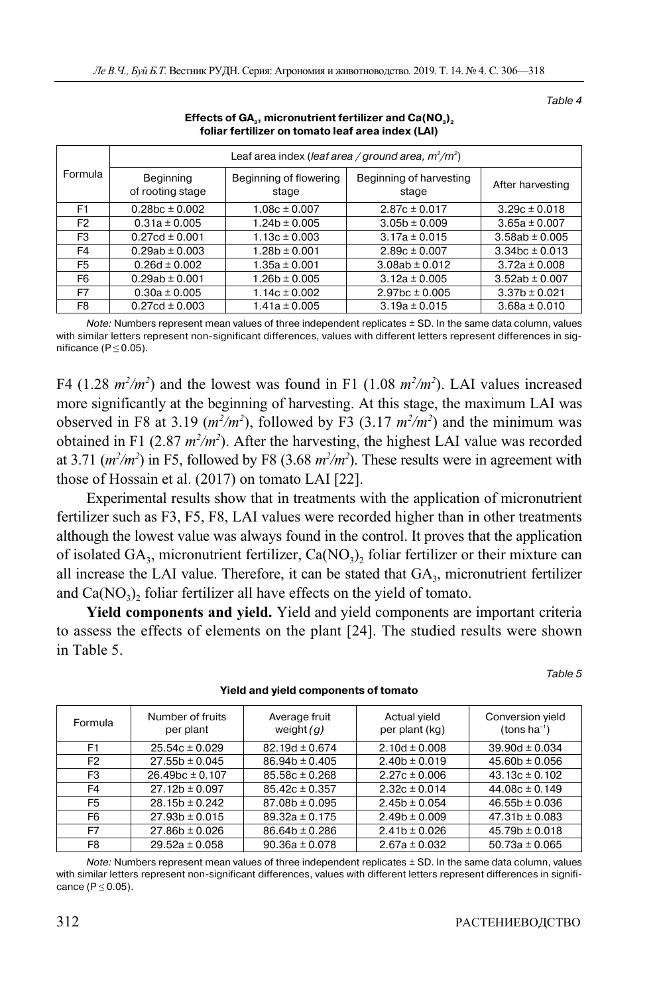Table 4

| Formula        | Leaf area index (leaf area / ground area, $m^2/m^2$ ) |                                 |                                  |                    |
|----------------|-------------------------------------------------------|---------------------------------|----------------------------------|--------------------|
|                | <b>Beginning</b><br>of rooting stage                  | Beginning of flowering<br>stage | Beginning of harvesting<br>stage | After harvesting   |
| F <sub>1</sub> | $0.28bc \pm 0.002$                                    | $1.08c \pm 0.007$               | $2.87c \pm 0.017$                | $3.29c \pm 0.018$  |
| F <sub>2</sub> | $0.31a \pm 0.005$                                     | $1.24b \pm 0.005$               | $3.05b \pm 0.009$                | $3.65a \pm 0.007$  |
| F3             | $0.27cd \pm 0.001$                                    | $1.13c \pm 0.003$               | $3.17a \pm 0.015$                | $3.58ab \pm 0.005$ |
| F4             | $0.29ab \pm 0.003$                                    | $1.28b \pm 0.001$               | $2.89c \pm 0.007$                | $3.34bc \pm 0.013$ |
| F5             | $0.26d \pm 0.002$                                     | $1.35a \pm 0.001$               | $3.08ab \pm 0.012$               | $3.72a \pm 0.008$  |
| F6             | $0.29ab \pm 0.001$                                    | $1.26b \pm 0.005$               | $3.12a \pm 0.005$                | $3.52ab \pm 0.007$ |
| F7             | $0.30a \pm 0.005$                                     | $1.14c \pm 0.002$               | $2.97bc \pm 0.005$               | $3.37b \pm 0.021$  |
| F8             | $0.27cd \pm 0.003$                                    | $1.41a \pm 0.005$               | $3.19a \pm 0.015$                | $3.68a \pm 0.010$  |

#### Effects of GA<sub>3</sub>, micronutrient fertilizer and Ca(NO<sub>3</sub>)<sub>2</sub> **foliar fertilizer on tomato leaf area index (LAI)**

Note: Numbers represent mean values of three independent replicates ± SD. In the same data column, values with similar letters represent non-significant differences, values with different letters represent differences in significance ( $P \le 0.05$ ).

F4 (1.28  $m^2/m^2$ ) and the lowest was found in F1 (1.08  $m^2/m^2$ ). LAI values increased more significantly at the beginning of harvesting. At this stage, the maximum LAI was observed in F8 at 3.19  $(m^2/m^2)$ , followed by F3 (3.17  $m^2/m^2$ ) and the minimum was obtained in F1 (2.87  $m^2/m^2$ ). After the harvesting, the highest LAI value was recorded at 3.71  $(m^2/m^2)$  in F5, followed by F8 (3.68  $m^2/m^2$ ). These results were in agreement with those of Hossain et al. (2017) on tomato LAI [22].

Experimental results show that in treatments with the application of micronutrient fertilizer such as F3, F5, F8, LAI values were recorded higher than in other treatments although the lowest value was always found in the control. It proves that the application of isolated  $GA_3$ , micronutrient fertilizer,  $Ca(NO_3)$ , foliar fertilizer or their mixture can all increase the LAI value. Therefore, it can be stated that  $GA<sub>3</sub>$ , micronutrient fertilizer and  $Ca(NO<sub>3</sub>)$ , foliar fertilizer all have effects on the yield of tomato.

**Yield components and yield.** Yield and yield components are important criteria to assess the effects of elements on the plant [24]. The studied results were shown in Table 5.

Table 5

| Formula        | Number of fruits<br>per plant | Average fruit<br>weight $(g)$ | Actual yield<br>per plant (kg) | Conversion yield<br>(tons $ha^{-1}$ ) |
|----------------|-------------------------------|-------------------------------|--------------------------------|---------------------------------------|
| F <sub>1</sub> | $25.54c \pm 0.029$            | $82.19d \pm 0.674$            | $2.10d \pm 0.008$              | $39.90d \pm 0.034$                    |
| F <sub>2</sub> | $27.55b \pm 0.045$            | $86.94b \pm 0.405$            | $2.40b \pm 0.019$              | $45.60b \pm 0.056$                    |
| F3             | $26.49bc \pm 0.107$           | $85.58c \pm 0.268$            | $2.27c \pm 0.006$              | $43.13c \pm 0.102$                    |
| F4             | $27.12b \pm 0.097$            | $85.42c \pm 0.357$            | $2.32c \pm 0.014$              | $44.08c \pm 0.149$                    |
| F <sub>5</sub> | $28.15b \pm 0.242$            | $87.08b \pm 0.095$            | $2.45b \pm 0.054$              | $46.55b \pm 0.036$                    |
| F6             | $27.93b \pm 0.015$            | $89.32a \pm 0.175$            | $2.49b \pm 0.009$              | $47.31b \pm 0.083$                    |
| F7             | $27.86b \pm 0.026$            | $86.64b \pm 0.286$            | $2.41b \pm 0.026$              | $45.79b \pm 0.018$                    |
| F8             | $29.52a \pm 0.058$            | $90.36a \pm 0.078$            | $2.67a \pm 0.032$              | $50.73a \pm 0.065$                    |

**Yield and yield components of tomato** 

Note: Numbers represent mean values of three independent replicates ± SD. In the same data column, values with similar letters represent non-significant differences, values with different letters represent differences in significance ( $P \le 0.05$ ).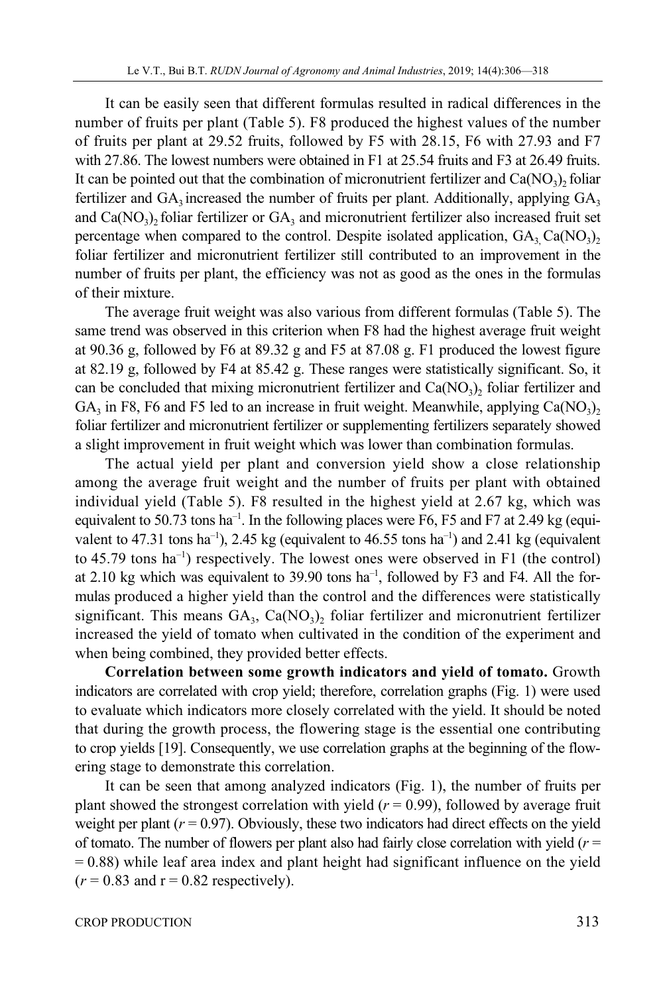It can be easily seen that different formulas resulted in radical differences in the number of fruits per plant (Table 5). F8 produced the highest values of the number of fruits per plant at 29.52 fruits, followed by F5 with 28.15, F6 with 27.93 and F7 with 27.86. The lowest numbers were obtained in F1 at 25.54 fruits and F3 at 26.49 fruits. It can be pointed out that the combination of micronutrient fertilizer and  $Ca(NO<sub>3</sub>)$ , foliar fertilizer and  $GA_3$  increased the number of fruits per plant. Additionally, applying  $GA_3$ and  $Ca(NO<sub>3</sub>)<sub>2</sub>$  foliar fertilizer or  $GA<sub>3</sub>$  and micronutrient fertilizer also increased fruit set percentage when compared to the control. Despite isolated application,  $GA_3 Ca(NO_3)$ foliar fertilizer and micronutrient fertilizer still contributed to an improvement in the number of fruits per plant, the efficiency was not as good as the ones in the formulas of their mixture.

The average fruit weight was also various from different formulas (Table 5). The same trend was observed in this criterion when F8 had the highest average fruit weight at 90.36 g, followed by F6 at 89.32 g and F5 at 87.08 g. F1 produced the lowest figure at 82.19 g, followed by F4 at 85.42 g. These ranges were statistically significant. So, it can be concluded that mixing micronutrient fertilizer and  $Ca(NO<sub>3</sub>)<sub>2</sub>$  foliar fertilizer and GA<sub>3</sub> in F8, F6 and F5 led to an increase in fruit weight. Meanwhile, applying Ca(NO<sub>3</sub>)<sub>2</sub> foliar fertilizer and micronutrient fertilizer or supplementing fertilizers separately showed a slight improvement in fruit weight which was lower than combination formulas.

The actual yield per plant and conversion yield show a close relationship among the average fruit weight and the number of fruits per plant with obtained individual yield (Table 5). F8 resulted in the highest yield at 2.67 kg, which was equivalent to 50.73 tons ha<sup>-1</sup>. In the following places were F6, F5 and F7 at 2.49 kg (equivalent to 47.31 tons ha<sup>-1</sup>), 2.45 kg (equivalent to 46.55 tons ha<sup>-1</sup>) and 2.41 kg (equivalent to  $45.79$  tons ha<sup>-1</sup>) respectively. The lowest ones were observed in F1 (the control) at 2.10 kg which was equivalent to 39.90 tons  $ha^{-1}$ , followed by F3 and F4. All the formulas produced a higher yield than the control and the differences were statistically significant. This means  $GA_3$ ,  $Ca(NO_3)$ , foliar fertilizer and micronutrient fertilizer increased the yield of tomato when cultivated in the condition of the experiment and when being combined, they provided better effects.

**Correlation between some growth indicators and yield of tomato.** Growth indicators are correlated with crop yield; therefore, correlation graphs (Fig. 1) were used to evaluate which indicators more closely correlated with the yield. It should be noted that during the growth process, the flowering stage is the essential one contributing to crop yields [19]. Consequently, we use correlation graphs at the beginning of the flowering stage to demonstrate this correlation.

It can be seen that among analyzed indicators (Fig. 1), the number of fruits per plant showed the strongest correlation with yield  $(r = 0.99)$ , followed by average fruit weight per plant  $(r = 0.97)$ . Obviously, these two indicators had direct effects on the yield of tomato. The number of flowers per plant also had fairly close correlation with yield (*r* =  $= 0.88$ ) while leaf area index and plant height had significant influence on the yield  $(r = 0.83$  and  $r = 0.82$  respectively).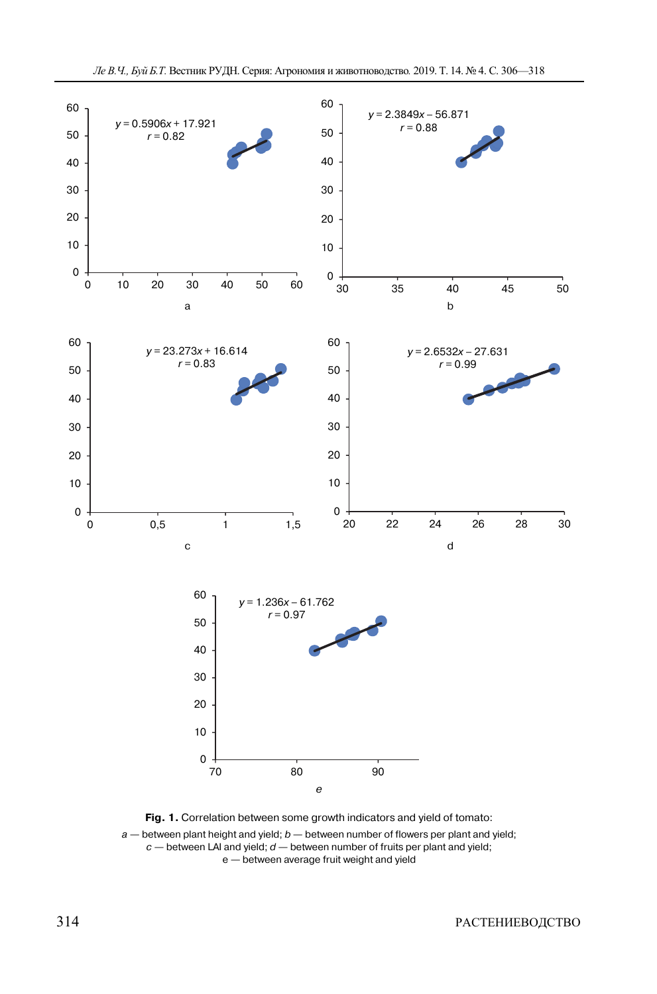



 $a$  — between plant height and yield;  $b$  — between number of flowers per plant and yield;  $c$  — between LAI and yield;  $d$  — between number of fruits per plant and yield;

e — between average fruit weight and yield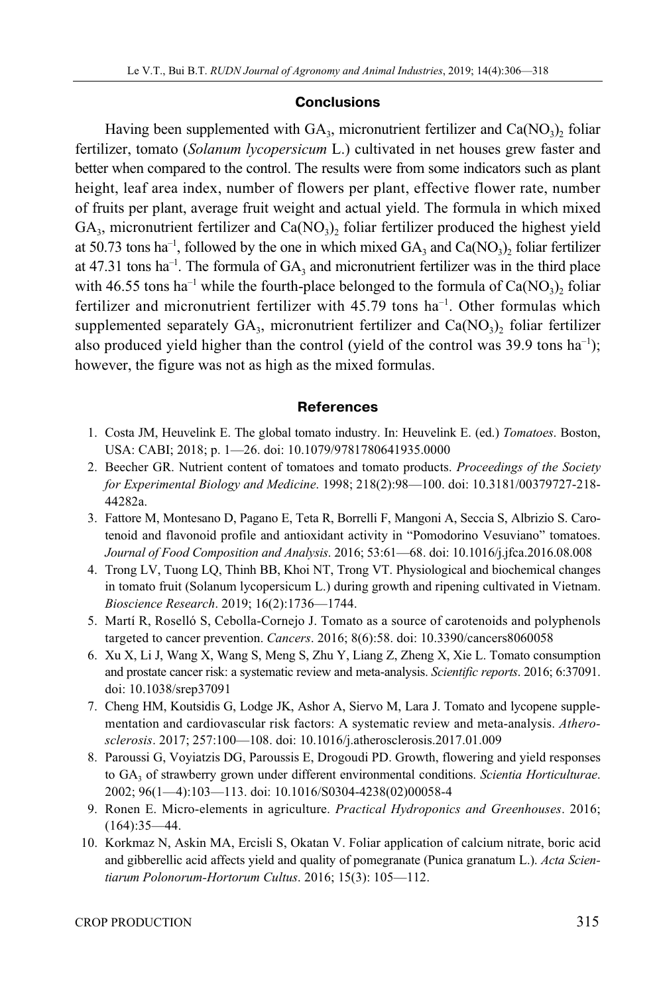# **Conclusions**

Having been supplemented with  $GA_3$ , micronutrient fertilizer and  $Ca(NO_3)$ , foliar fertilizer, tomato (*Solanum lycopersicum* L.) cultivated in net houses grew faster and better when compared to the control. The results were from some indicators such as plant height, leaf area index, number of flowers per plant, effective flower rate, number of fruits per plant, average fruit weight and actual yield. The formula in which mixed  $GA_3$ , micronutrient fertilizer and  $Ca(NO_3)$ , foliar fertilizer produced the highest yield at 50.73 tons ha<sup>-1</sup>, followed by the one in which mixed  $GA_3$  and  $Ca(NO_3)$ , foliar fertilizer at 47.31 tons ha<sup>-1</sup>. The formula of  $GA_3$  and micronutrient fertilizer was in the third place with 46.55 tons ha<sup>-1</sup> while the fourth-place belonged to the formula of  $Ca(NO<sub>3</sub>)$ , foliar fertilizer and micronutrient fertilizer with 45.79 tons ha<sup>-1</sup>. Other formulas which supplemented separately  $GA_3$ , micronutrient fertilizer and  $Ca(NO_3)$ , foliar fertilizer also produced yield higher than the control (yield of the control was 39.9 tons ha<sup>-1</sup>); however, the figure was not as high as the mixed formulas.

# **References**

- 1. Costa JM, Heuvelink E. The global tomato industry. In: Heuvelink E. (ed.) *Tomatoes*. Boston, USA: CABI; 2018; p. 1—26. doi: 10.1079/9781780641935.0000
- 2. Beecher GR. Nutrient content of tomatoes and tomato products. *Proceedings of the Society for Experimental Biology and Medicine*. 1998; 218(2):98—100. doi: 10.3181/00379727-218- 44282a.
- 3. Fattore M, Montesano D, Pagano E, Teta R, Borrelli F, Mangoni A, Seccia S, Albrizio S. Carotenoid and flavonoid profile and antioxidant activity in "Pomodorino Vesuviano" tomatoes. *Journal of Food Composition and Analysis*. 2016; 53:61—68. doi: 10.1016/j.jfca.2016.08.008
- 4. Trong LV, Tuong LQ, Thinh BB, Khoi NT, Trong VT. Physiological and biochemical changes in tomato fruit (Solanum lycopersicum L.) during growth and ripening cultivated in Vietnam. *Bioscience Research*. 2019; 16(2):1736—1744.
- 5. Martí R, Roselló S, Cebolla-Cornejo J. Tomato as a source of carotenoids and polyphenols targeted to cancer prevention. *Cancers*. 2016; 8(6):58. doi: 10.3390/cancers8060058
- 6. Xu X, Li J, Wang X, Wang S, Meng S, Zhu Y, Liang Z, Zheng X, Xie L. Tomato consumption and prostate cancer risk: a systematic review and meta-analysis. *Scientific reports*. 2016; 6:37091. doi: 10.1038/srep37091
- 7. Cheng HM, Koutsidis G, Lodge JK, Ashor A, Siervo M, Lara J. Tomato and lycopene supplementation and cardiovascular risk factors: A systematic review and meta-analysis. *Atherosclerosis*. 2017; 257:100—108. doi: 10.1016/j.atherosclerosis.2017.01.009
- 8. Paroussi G, Voyiatzis DG, Paroussis E, Drogoudi PD. Growth, flowering and yield responses to GA3 of strawberry grown under different environmental conditions. *Scientia Horticulturae*. 2002; 96(1—4):103—113. doi: 10.1016/S0304-4238(02)00058-4
- 9. Ronen E. Micro-elements in agriculture. *Practical Hydroponics and Greenhouses*. 2016; (164):35—44.
- 10. Korkmaz N, Askin MA, Ercisli S, Okatan V. Foliar application of calcium nitrate, boric acid and gibberellic acid affects yield and quality of pomegranate (Punica granatum L.). *Acta Scientiarum Polonorum-Hortorum Cultus*. 2016; 15(3): 105—112.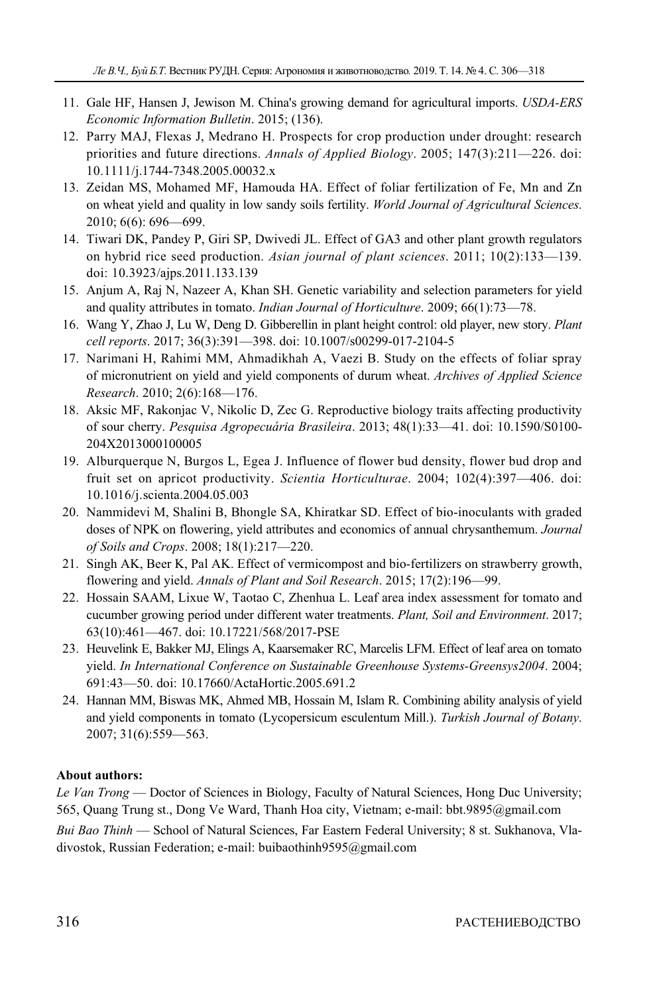- 11. Gale HF, Hansen J, Jewison M. China's growing demand for agricultural imports. *USDA-ERS Economic Information Bulletin*. 2015; (136).
- 12. Parry MAJ, Flexas J, Medrano H. Prospects for crop production under drought: research priorities and future directions. *Annals of Applied Biology*. 2005; 147(3):211—226. doi: 10.1111/j.1744-7348.2005.00032.x
- 13. Zeidan MS, Mohamed MF, Hamouda HA. Effect of foliar fertilization of Fe, Mn and Zn on wheat yield and quality in low sandy soils fertility. *World Journal of Agricultural Sciences*. 2010; 6(6): 696—699.
- 14. Tiwari DK, Pandey P, Giri SP, Dwivedi JL. Effect of GA3 and other plant growth regulators on hybrid rice seed production. *Asian journal of plant sciences*. 2011; 10(2):133—139. doi: 10.3923/ajps.2011.133.139
- 15. Anjum A, Raj N, Nazeer A, Khan SH. Genetic variability and selection parameters for yield and quality attributes in tomato. *Indian Journal of Horticulture*. 2009; 66(1):73—78.
- 16. Wang Y, Zhao J, Lu W, Deng D. Gibberellin in plant height control: old player, new story. *Plant cell reports*. 2017; 36(3):391—398. doi: 10.1007/s00299-017-2104-5
- 17. Narimani H, Rahimi MM, Ahmadikhah A, Vaezi B. Study on the effects of foliar spray of micronutrient on yield and yield components of durum wheat. *Archives of Applied Science Research*. 2010; 2(6):168—176.
- 18. Aksic MF, Rakonjac V, Nikolic D, Zec G. Reproductive biology traits affecting productivity of sour cherry. *Pesquisa Agropecuária Brasileira*. 2013; 48(1):33—41. doi: 10.1590/S0100- 204X2013000100005
- 19. Alburquerque N, Burgos L, Egea J. Influence of flower bud density, flower bud drop and fruit set on apricot productivity. *Scientia Horticulturae*. 2004; 102(4):397—406. doi: 10.1016/j.scienta.2004.05.003
- 20. Nammidevi M, Shalini B, Bhongle SA, Khiratkar SD. Effect of bio-inoculants with graded doses of NPK on flowering, yield attributes and economics of annual chrysanthemum. *Journal of Soils and Crops*. 2008; 18(1):217—220.
- 21. Singh AK, Beer K, Pal AK. Effect of vermicompost and bio-fertilizers on strawberry growth, flowering and yield. *Annals of Plant and Soil Research*. 2015; 17(2):196—99.
- 22. Hossain SAAM, Lixue W, Taotao C, Zhenhua L. Leaf area index assessment for tomato and cucumber growing period under different water treatments. *Plant, Soil and Environment*. 2017; 63(10):461—467. doi: 10.17221/568/2017-PSE
- 23. Heuvelink E, Bakker MJ, Elings A, Kaarsemaker RC, Marcelis LFM. Effect of leaf area on tomato yield. *In International Conference on Sustainable Greenhouse Systems-Greensys2004*. 2004; 691:43—50. doi: 10.17660/ActaHortic.2005.691.2
- 24. Hannan MM, Biswas MK, Ahmed MB, Hossain M, Islam R. Combining ability analysis of yield and yield components in tomato (Lycopersicum esculentum Mill.). *Turkish Journal of Botany*. 2007; 31(6):559—563.

# **About authors:**

*Le Van Trong* — Doctor of Sciences in Biology, Faculty of Natural Sciences, Hong Duc University; 565, Quang Trung st., Dong Ve Ward, Thanh Hoa city, Vietnam; e-mail: bbt.9895@gmail.com

*Bui Bao Thinh* — School of Natural Sciences, Far Eastern Federal University; 8 st. Sukhanova, Vladivostok, Russian Federation; e-mail: buibaothinh9595@gmail.com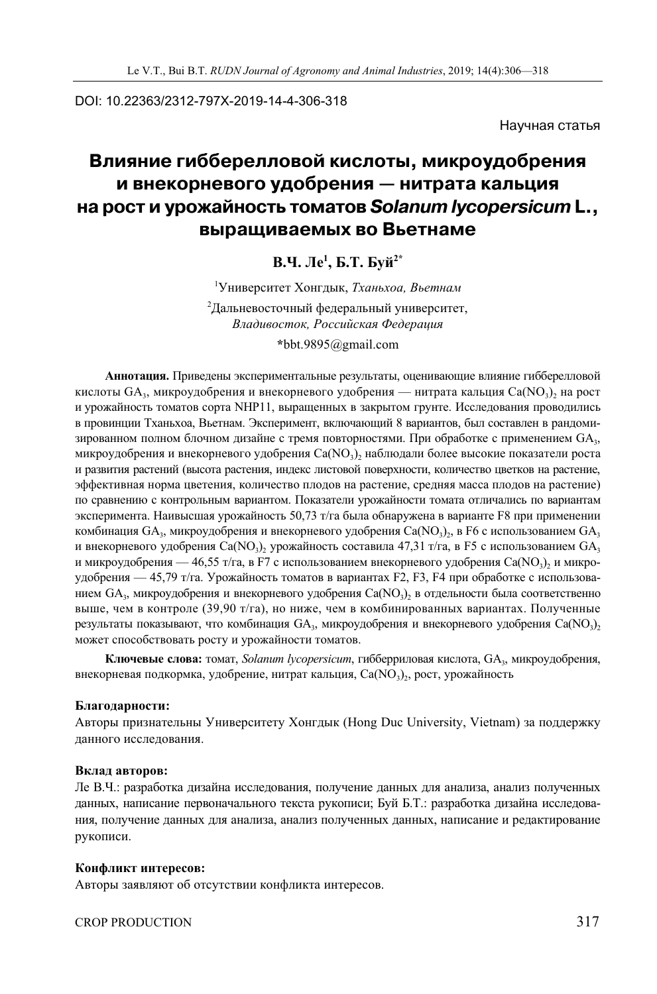DOI: 10.22363/2312-797X-2019-14-4-306-318

Научная статья

# **Влияние гибберелловой кислоты, микроудобрения и внекорневого удобрения — нитрата кальция на рост и урожайность томатов** *Solanum lycopersicum* **L., выращиваемых во Вьетнаме**

# **В.Ч.** Ле<sup>1</sup>, **Б.Т.** Буй<sup>2\*</sup>

1 Университет Хонгдык, *Тханьхоа, Вьетнам* 

 $^{2}$ Дальневосточный федеральный университет, *Владивосток, Российская Федерация*  **\***bbt.9895@gmail.com

**Аннотация.** Приведены экспериментальные результаты, оценивающие влияние гибберелловой кислоты  $GA_3$ , микроудобрения и внекорневого удобрения — нитрата кальция Ca(NO3), на рост и урожайность томатов сорта NHP11, выращенных в закрытом грунте. Исследования проводились в провинции Тханьхоа, Вьетнам. Эксперимент, включающий 8 вариантов, был составлен в рандомизированном полном блочном дизайне с тремя повторностями. При обработке с применением GA<sub>3</sub>, микроудобрения и внекорневого удобрения Ca(NO3)<sub>2</sub> наблюдали более высокие показатели роста и развития растений (высота растения, индекс листовой поверхности, количество цветков на растение, эффективная норма цветения, количество плодов на растение, средняя масса плодов на растение) по сравнению с контрольным вариантом. Показатели урожайности томата отличались по вариантам эксперимента. Наивысшая урожайность 50,73 т/га была обнаружена в варианте F8 при применении комбинация GA<sub>3</sub>, микроудобрения и внекорневого удобрения Ca(NO<sub>3</sub>), в F6 с использованием GA<sub>3</sub> и внекорневого удобрения Ca(NO<sub>3</sub>), урожайность составила 47,31 т/га, в F5 с использованием GA<sub>3</sub> и микроудобрения — 46,55 т/га, в F7 с использованием внекорневого удобрения Ca(NO<sub>3</sub>), и микроудобрения — 45,79 т/га. Урожайность томатов в вариантах F2, F3, F4 при обработке с использованием  $GA_3$ , микроудобрения и внекорневого удобрения Ca(NO3), в отдельности была соответственно выше, чем в контроле (39,90 т/га), но ниже, чем в комбинированных вариантах. Полученные результаты показывают, что комбинация  $GA_3$ , микроудобрения и внекорневого удобрения Ca(NO3), может способствовать росту и урожайности томатов.

Ключевые слова: томат, *Solanum lycopersicum*, гибберриловая кислота, GA<sub>3</sub>, микроудобрения, внекорневая подкормка, удобрение, нитрат кальция,  $Ca(NO<sub>3</sub>)$ , рост, урожайность

#### **Благодарности:**

Авторы признательны Университету Хонгдык (Hong Duc University, Vietnam) за поддержку данного исследования.

#### **Вклад авторов:**

Ле В.Ч.: разработка дизайна исследования, получение данных для анализа, анализ полученных данных, написание первоначального текста рукописи; Буй Б.Т.: разработка дизайна исследования, получение данных для анализа, анализ полученных данных, написание и редактирование рукописи.

#### **Конфликт интересов:**

Авторы заявляют об отсутствии конфликта интересов.

CROP PRODUCTION 317